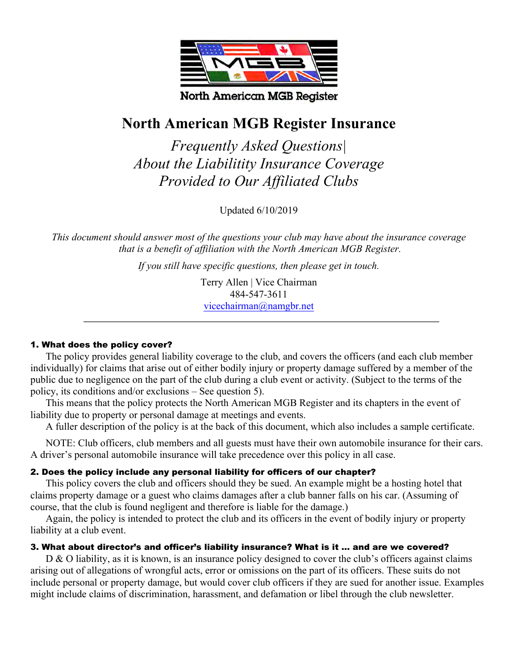

# **North American MGB Register Insurance**

**Frequently Asked Questions** About the Liabilitity Insurance Coverage Provided to Our Affiliated Clubs

Updated 6/10/2019

This document should answer most of the questions your club may have about the insurance coverage that is a benefit of affiliation with the North American MGB Register.

If you still have specific questions, then please get in touch.

Terry Allen | Vice Chairman 484-547-3611 vicechairman@namgbr.net

# 1. What does the policy cover?

The policy provides general liability coverage to the club, and covers the officers (and each club member individually) for claims that arise out of either bodily injury or property damage suffered by a member of the public due to negligence on the part of the club during a club event or activity. (Subject to the terms of the policy, its conditions and/or exclusions  $-$  See question 5).

This means that the policy protects the North American MGB Register and its chapters in the event of liability due to property or personal damage at meetings and events.

A fuller description of the policy is at the back of this document, which also includes a sample certificate.

NOTE: Club officers, club members and all guests must have their own automobile insurance for their cars. A driver's personal automobile insurance will take precedence over this policy in all case.

# 2. Does the policy include any personal liability for officers of our chapter?

This policy covers the club and officers should they be sued. An example might be a hosting hotel that claims property damage or a guest who claims damages after a club banner falls on his car. (Assuming of course, that the club is found negligent and therefore is liable for the damage.)

Again, the policy is intended to protect the club and its officers in the event of bodily injury or property liability at a club event.

# 3. What about director's and officer's liability insurance? What is it ... and are we covered?

 $D \& O$  liability, as it is known, is an insurance policy designed to cover the club's officers against claims arising out of allegations of wrongful acts, error or omissions on the part of its officers. These suits do not include personal or property damage, but would cover club officers if they are sued for another issue. Examples might include claims of discrimination, harassment, and defamation or libel through the club newsletter.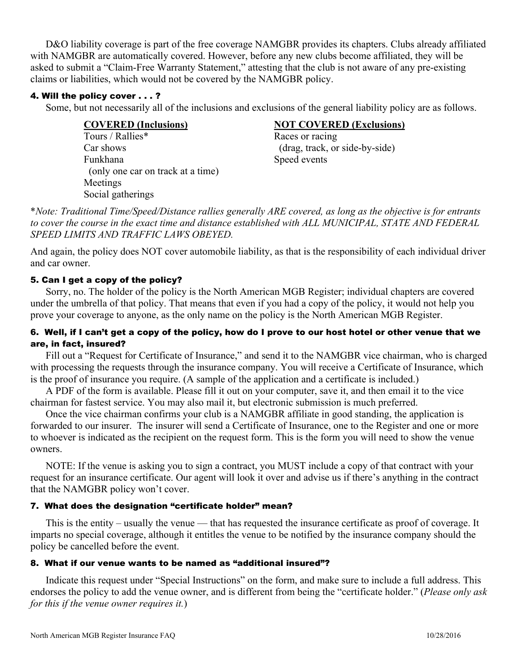D&O liability coverage is part of the free coverage NAMGBR provides its chapters. Clubs already affiliated with NAMGBR are automatically covered. However, before any new clubs become affiliated, they will be asked to submit a "Claim-Free Warranty Statement," attesting that the club is not aware of any pre-existing claims or liabilities, which would not be covered by the NAMGBR policy.

### 4. Will the policy cover . . . ?

Some, but not necessarily all of the inclusions and exclusions of the general liability policy are as follows.

| <b>COVERED</b> (Inclusions)       | <b>NOT COVERED (Exclusions)</b> |
|-----------------------------------|---------------------------------|
| Tours / Rallies*                  | Races or racing                 |
| Car shows                         | (drag, track, or side-by-side)  |
| Funkhana                          | Speed events                    |
| (only one car on track at a time) |                                 |
| Meetings                          |                                 |
| Social gatherings                 |                                 |

\*Note: Traditional Time/Speed/Distance rallies generally ARE covered, as long as the objective is for entrants to cover the course in the exact time and distance established with ALL MUNICIPAL, STATE AND FEDERAL SPEED LIMITS AND TRAFFIC LAWS OBEYED.

And again, the policy does NOT cover automobile liability, as that is the responsibility of each individual driver and car owner.

### 5. Can I get a copy of the policy?

Sorry, no. The holder of the policy is the North American MGB Register; individual chapters are covered under the umbrella of that policy. That means that even if you had a copy of the policy, it would not help you prove your coverage to anyone, as the only name on the policy is the North American MGB Register.

# 6. Well, if I can't get a copy of the policy, how do I prove to our host hotel or other venue that we are, in fact, insured?

Fill out a "Request for Certificate of Insurance," and send it to the NAMGBR vice chairman, who is charged with processing the requests through the insurance company. You will receive a Certificate of Insurance, which is the proof of insurance you require. (A sample of the application and a certificate is included.)

A PDF of the form is available. Please fill it out on your computer, save it, and then email it to the vice chairman for fastest service. You may also mail it, but electronic submission is much preferred.

Once the vice chairman confirms your club is a NAMGBR affiliate in good standing, the application is forwarded to our insurer. The insurer will send a Certificate of Insurance, one to the Register and one or more to whoever is indicated as the recipient on the request form. This is the form you will need to show the venue owners

NOTE: If the venue is asking you to sign a contract, you MUST include a copy of that contract with your request for an insurance certificate. Our agent will look it over and advise us if there's anything in the contract that the NAMGBR policy won't cover.

# 7. What does the designation "certificate holder" mean?

This is the entity – usually the venue — that has requested the insurance certificate as proof of coverage. It imparts no special coverage, although it entitles the venue to be notified by the insurance company should the policy be cancelled before the event.

#### 8. What if our venue wants to be named as "additional insured"?

Indicate this request under "Special Instructions" on the form, and make sure to include a full address. This endorses the policy to add the venue owner, and is different from being the "certificate holder." (Please only ask for this if the venue owner requires it.)